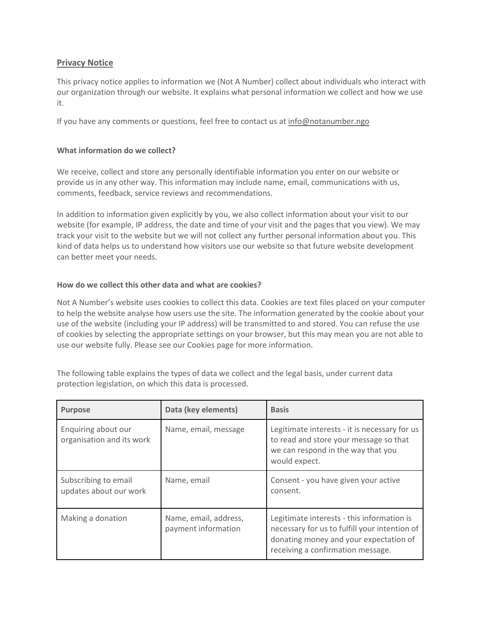# **Privacy Notice**

This privacy notice applies to information we (Not A Number) collect about individuals who interact with our organization through our website. It explains what personal information we collect and how we use it.

If you have any comments or questions, feel free to contact us at [info@notanumber.ngo](mailto:info@notanumber.ngo)

### **What information do we collect?**

We receive, collect and store any personally identifiable information you enter on our website or provide us in any other way. This information may include name, email, communications with us, comments, feedback, service reviews and recommendations.

In addition to information given explicitly by you, we also collect information about your visit to our website (for example, IP address, the date and time of your visit and the pages that you view). We may track your visit to the website but we will not collect any further personal information about you. This kind of data helps us to understand how visitors use our website so that future website development can better meet your needs.

### **How do we collect this other data and what are cookies?**

Not A Number's website uses cookies to collect this data. Cookies are text files placed on your computer to help the website analyse how users use the site. The information generated by the cookie about your use of the website (including your IP address) will be transmitted to and stored. You can refuse the use of cookies by selecting the appropriate settings on your browser, but this may mean you are not able to use our website fully. Please see our Cookies page for more information.

The following table explains the types of data we collect and the legal basis, under current data protection legislation, on which this data is processed.

| <b>Purpose</b>                                   | Data (key elements)                          | <b>Basis</b>                                                                                                                                                               |
|--------------------------------------------------|----------------------------------------------|----------------------------------------------------------------------------------------------------------------------------------------------------------------------------|
| Enquiring about our<br>organisation and its work | Name, email, message                         | Legitimate interests - it is necessary for us<br>to read and store your message so that<br>we can respond in the way that you<br>would expect.                             |
| Subscribing to email<br>updates about our work   | Name, email                                  | Consent - you have given your active<br>consent.                                                                                                                           |
| Making a donation                                | Name, email, address,<br>payment information | Legitimate interests - this information is<br>necessary for us to fulfill your intention of<br>donating money and your expectation of<br>receiving a confirmation message. |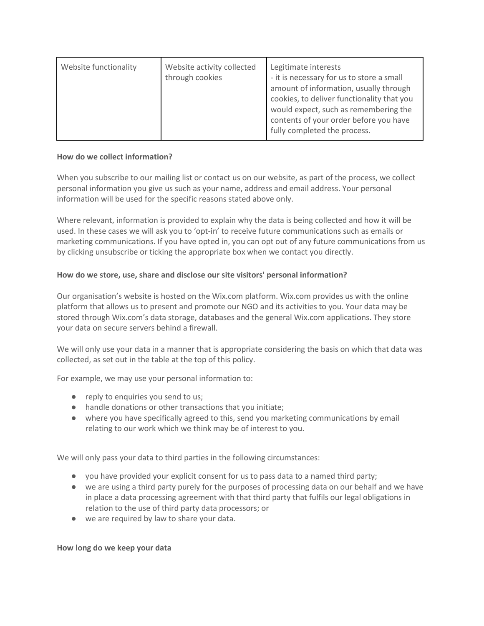| Website functionality | Website activity collected<br>through cookies | Legitimate interests<br>- it is necessary for us to store a small<br>amount of information, usually through<br>cookies, to deliver functionality that you<br>would expect, such as remembering the<br>contents of your order before you have<br>fully completed the process. |
|-----------------------|-----------------------------------------------|------------------------------------------------------------------------------------------------------------------------------------------------------------------------------------------------------------------------------------------------------------------------------|
|-----------------------|-----------------------------------------------|------------------------------------------------------------------------------------------------------------------------------------------------------------------------------------------------------------------------------------------------------------------------------|

## **How do we collect information?**

When you subscribe to our mailing list or contact us on our website, as part of the process, we collect personal information you give us such as your name, address and email address. Your personal information will be used for the specific reasons stated above only.

Where relevant, information is provided to explain why the data is being collected and how it will be used. In these cases we will ask you to 'opt-in' to receive future communications such as emails or marketing communications. If you have opted in, you can opt out of any future communications from us by clicking unsubscribe or ticking the appropriate box when we contact you directly.

## **How do we store, use, share and disclose our site visitors' personal information?**

Our organisation's website is hosted on the Wix.com platform. Wix.com provides us with the online platform that allows us to present and promote our NGO and its activities to you. Your data may be stored through Wix.com's data storage, databases and the general Wix.com applications. They store your data on secure servers behind a firewall.

We will only use your data in a manner that is appropriate considering the basis on which that data was collected, as set out in the table at the top of this policy.

For example, we may use your personal information to:

- reply to enquiries you send to us;
- handle donations or other transactions that you initiate;
- where you have specifically agreed to this, send you marketing communications by email relating to our work which we think may be of interest to you.

We will only pass your data to third parties in the following circumstances:

- you have provided your explicit consent for us to pass data to a named third party;
- we are using a third party purely for the purposes of processing data on our behalf and we have in place a data processing agreement with that third party that fulfils our legal obligations in relation to the use of third party data processors; or
- we are required by law to share your data.

### **How long do we keep your data**